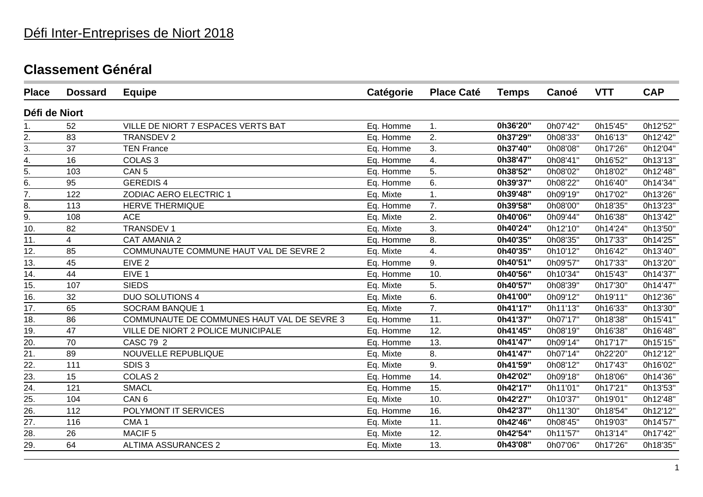| <b>Place</b>      | <b>Dossard</b> | <b>Equipe</b>                              | Catégorie | <b>Place Caté</b> | <b>Temps</b> | Canoé    | <b>VTT</b> | <b>CAP</b> |
|-------------------|----------------|--------------------------------------------|-----------|-------------------|--------------|----------|------------|------------|
| Défi de Niort     |                |                                            |           |                   |              |          |            |            |
| 1.                | 52             | VILLE DE NIORT 7 ESPACES VERTS BAT         | Eq. Homme | 1.                | 0h36'20"     | 0h07'42" | 0h15'45"   | 0h12'52"   |
| 2.                | 83             | <b>TRANSDEV 2</b>                          | Eq. Homme | 2.                | 0h37'29"     | 0h08'33" | 0h16'13"   | 0h12'42"   |
| 3.                | 37             | <b>TEN France</b>                          | Eq. Homme | 3.                | 0h37'40"     | 0h08'08" | 0h17'26"   | 0h12'04"   |
| 4.                | 16             | COLAS <sub>3</sub>                         | Eq. Homme | 4.                | 0h38'47"     | 0h08'41" | 0h16'52"   | 0h13'13"   |
| 5.                | 103            | CAN <sub>5</sub>                           | Eq. Homme | 5.                | 0h38'52"     | 0h08'02" | 0h18'02"   | 0h12'48"   |
| $\overline{6}$ .  | 95             | <b>GEREDIS4</b>                            | Eq. Homme | 6.                | 0h39'37"     | 0h08'22" | 0h16'40"   | 0h14'34"   |
| 7.                | 122            | ZODIAC AERO ELECTRIC 1                     | Eq. Mixte | 1.                | 0h39'48"     | 0h09'19" | 0h17'02"   | 0h13'26"   |
| $\overline{8}$ .  | 113            | <b>HERVE THERMIQUE</b>                     | Eq. Homme | $\overline{7}$ .  | 0h39'58"     | 0h08'00" | 0h18'35"   | 0h13'23"   |
| 9.                | 108            | <b>ACE</b>                                 | Eq. Mixte | 2.                | 0h40'06"     | 0h09'44" | 0h16'38"   | 0h13'42"   |
| 10.               | 82             | <b>TRANSDEV1</b>                           | Eq. Mixte | 3.                | 0h40'24"     | 0h12'10" | 0h14'24"   | 0h13'50"   |
| 11.               | 4              | <b>CAT AMANIA 2</b>                        | Eq. Homme | 8.                | 0h40'35"     | 0h08'35" | 0h17'33"   | 0h14'25"   |
| 12.               | 85             | COMMUNAUTE COMMUNE HAUT VAL DE SEVRE 2     | Eq. Mixte | 4.                | 0h40'35"     | 0h10'12" | 0h16'42"   | 0h13'40"   |
| 13.               | 45             | EIVE <sub>2</sub>                          | Eq. Homme | 9.                | 0h40'51"     | 0h09'57" | 0h17'33"   | 0h13'20"   |
| 14.               | 44             | EIVE <sub>1</sub>                          | Eq. Homme | 10.               | 0h40'56"     | 0h10'34" | 0h15'43"   | 0h14'37"   |
| 15.               | 107            | <b>SIEDS</b>                               | Eq. Mixte | 5.                | 0h40'57"     | 0h08'39" | 0h17'30"   | 0h14'47"   |
| $\overline{16}$ . | 32             | <b>DUO SOLUTIONS 4</b>                     | Eq. Mixte | 6.                | 0h41'00"     | 0h09'12" | 0h19'11"   | 0h12'36"   |
| 17.               | 65             | <b>SOCRAM BANQUE 1</b>                     | Eq. Mixte | 7.                | 0h41'17"     | 0h11'13" | 0h16'33"   | 0h13'30"   |
| 18.               | 86             | COMMUNAUTE DE COMMUNES HAUT VAL DE SEVRE 3 | Eq. Homme | 11.               | 0h41'37"     | 0h07'17" | 0h18'38"   | 0h15'41"   |
| 19.               | 47             | VILLE DE NIORT 2 POLICE MUNICIPALE         | Eq. Homme | 12.               | 0h41'45"     | 0h08'19" | 0h16'38"   | 0h16'48"   |
| 20.               | 70             | CASC 79 2                                  | Eq. Homme | 13.               | 0h41'47"     | 0h09'14" | 0h17'17"   | 0h15'15"   |
| 21.               | 89             | <b>NOUVELLE REPUBLIQUE</b>                 | Eq. Mixte | 8.                | 0h41'47"     | 0h07'14" | 0h22'20"   | 0h12'12"   |
| 22.               | 111            | SDIS <sub>3</sub>                          | Eq. Mixte | 9.                | 0h41'59"     | 0h08'12" | 0h17'43"   | 0h16'02"   |
|                   | 15             | COLAS <sub>2</sub>                         | Eq. Homme | 14.               | 0h42'02"     | 0h09'18" | 0h18'06"   | 0h14'36"   |
| $\frac{23}{24}$   | 121            | <b>SMACL</b>                               | Eq. Homme | 15.               | 0h42'17"     | 0h11'01" | 0h17'21"   | 0h13'53"   |
| 25.               | 104            | CAN <sub>6</sub>                           | Eq. Mixte | 10.               | 0h42'27"     | 0h10'37" | 0h19'01"   | 0h12'48"   |
| 26.               | 112            | POLYMONT IT SERVICES                       | Eq. Homme | 16.               | 0h42'37"     | 0h11'30" | 0h18'54"   | 0h12'12"   |
| 27.               | 116            | CMA <sub>1</sub>                           | Eq. Mixte | 11.               | 0h42'46"     | 0h08'45" | 0h19'03"   | 0h14'57"   |
| $\overline{28}$ . | 26             | MACIF <sub>5</sub>                         | Eq. Mixte | 12.               | 0h42'54"     | 0h11'57" | 0h13'14"   | 0h17'42"   |
| 29.               | 64             | <b>ALTIMA ASSURANCES 2</b>                 | Eq. Mixte | 13.               | 0h43'08"     | 0h07'06" | 0h17'26"   | 0h18'35"   |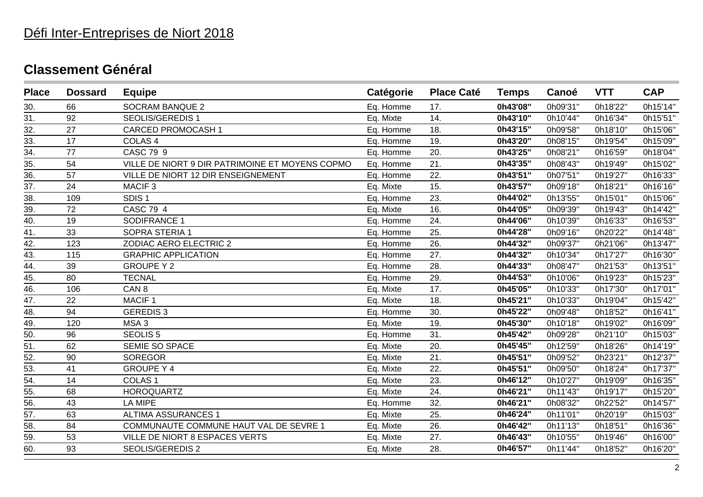## Défi Inter-Entreprises de Niort 2018

| <b>Place</b>       | <b>Dossard</b> | <b>Equipe</b>                                   | Catégorie | <b>Place Caté</b> | <b>Temps</b> | Canoé    | <b>VTT</b> | <b>CAP</b> |
|--------------------|----------------|-------------------------------------------------|-----------|-------------------|--------------|----------|------------|------------|
| 30.                | 66             | <b>SOCRAM BANQUE 2</b>                          | Eq. Homme | 17.               | 0h43'08"     | 0h09'31" | 0h18'22"   | 0h15'14"   |
| 31.                | 92             | <b>SEOLIS/GEREDIS 1</b>                         | Eq. Mixte | 14.               | 0h43'10"     | 0h10'44" | 0h16'34"   | 0h15'51"   |
| $\overline{32}$ .  | 27             | <b>CARCED PROMOCASH1</b>                        | Eq. Homme | 18.               | 0h43'15"     | 0h09'58" | 0h18'10"   | 0h15'06"   |
| 33.                | 17             | COLAS <sub>4</sub>                              | Eq. Homme | 19.               | 0h43'20"     | 0h08'15" | 0h19'54"   | 0h15'09"   |
| 34.                | 77             | CASC 79 9                                       | Eq. Homme | 20.               | 0h43'25"     | 0h08'21" | 0h16'59"   | 0h18'04"   |
| 35.                | 54             | VILLE DE NIORT 9 DIR PATRIMOINE ET MOYENS COPMO | Eq. Homme | 21.               | 0h43'35"     | 0h08'43" | 0h19'49"   | 0h15'02"   |
| 36.                | 57             | VILLE DE NIORT 12 DIR ENSEIGNEMENT              | Eq. Homme | 22.               | 0h43'51"     | 0h07'51" | 0h19'27"   | 0h16'33"   |
| 37.                | 24             | MACIF <sub>3</sub>                              | Eq. Mixte | 15.               | 0h43'57"     | 0h09'18" | 0h18'21"   | 0h16'16"   |
| 38.                | 109            | SDIS <sub>1</sub>                               | Eq. Homme | 23.               | 0h44'02"     | 0h13'55" | 0h15'01"   | 0h15'06"   |
| $\overline{39}$ .  | 72             | CASC 79 4                                       | Eq. Mixte | 16.               | 0h44'05"     | 0h09'39" | 0h19'43"   | 0h14'42"   |
| 40.                | 19             | SODIFRANCE 1                                    | Eq. Homme | 24.               | 0h44'06"     | 0h10'39" | 0h16'33"   | 0h16'53"   |
| 41.                | 33             | SOPRA STERIA 1                                  | Eq. Homme | 25.               | 0h44'28"     | 0h09'16" | 0h20'22"   | 0h14'48"   |
| 42.                | 123            | <b>ZODIAC AERO ELECTRIC 2</b>                   | Eq. Homme | 26.               | 0h44'32"     | 0h09'37" | 0h21'06"   | 0h13'47"   |
| 43.                | 115            | <b>GRAPHIC APPLICATION</b>                      | Eq. Homme | 27.               | 0h44'32"     | 0h10'34" | 0h17'27"   | 0h16'30"   |
| 44.                | 39             | <b>GROUPE Y 2</b>                               | Eq. Homme | 28.               | 0h44'33"     | 0h08'47" | 0h21'53"   | 0h13'51"   |
| $\overline{45}$ .  | 80             | <b>TECNAL</b>                                   | Eq. Homme | 29.               | 0h44'53"     | 0h10'06" | 0h19'23"   | 0h15'23"   |
| $\overline{46}$ .  | 106            | CAN <sub>8</sub>                                | Eq. Mixte | 17.               | 0h45'05"     | 0h10'33" | 0h17'30"   | 0h17'01"   |
| 47.                | 22             | MACIF <sub>1</sub>                              | Eq. Mixte | 18.               | 0h45'21"     | 0h10'33" | 0h19'04"   | 0h15'42"   |
| 48.                | 94             | <b>GEREDIS3</b>                                 | Eq. Homme | 30.               | 0h45'22"     | 0h09'48" | 0h18'52"   | 0h16'41"   |
| 49.                | 120            | MSA <sub>3</sub>                                | Eq. Mixte | 19.               | 0h45'30"     | 0h10'18" | 0h19'02"   | 0h16'09"   |
| 50.                | 96             | <b>SEOLIS 5</b>                                 | Eq. Homme | 31.               | 0h45'42"     | 0h09'28" | 0h21'10"   | 0h15'03"   |
| 51.                | 62             | SEMIE SO SPACE                                  | Eq. Mixte | 20.               | 0h45'45"     | 0h12'59" | 0h18'26"   | 0h14'19"   |
| $\underline{52}$ . | 90             | <b>SOREGOR</b>                                  | Eq. Mixte | 21.               | 0h45'51"     | 0h09'52" | 0h23'21"   | 0h12'37"   |
| 53.                | 41             | <b>GROUPE Y 4</b>                               | Eq. Mixte | 22.               | 0h45'51"     | 0h09'50" | 0h18'24"   | 0h17'37"   |
| 54.                | 14             | COLAS <sub>1</sub>                              | Eq. Mixte | 23.               | 0h46'12"     | 0h10'27" | 0h19'09"   | 0h16'35"   |
| 55.                | 68             | <b>HOROQUARTZ</b>                               | Eq. Mixte | 24.               | 0h46'21"     | 0h11'43" | 0h19'17"   | 0h15'20"   |
| $\underline{56}$ . | 43             | <b>LA MIPE</b>                                  | Eq. Homme | 32.               | 0h46'21"     | 0h08'32" | 0h22'52"   | 0h14'57"   |
| 57.                | 63             | <b>ALTIMA ASSURANCES 1</b>                      | Eq. Mixte | 25.               | 0h46'24"     | 0h11'01" | 0h20'19"   | 0h15'03"   |
| 58.                | 84             | COMMUNAUTE COMMUNE HAUT VAL DE SEVRE 1          | Eq. Mixte | 26.               | 0h46'42"     | 0h11'13" | 0h18'51"   | 0h16'36"   |
| 59.                | 53             | VILLE DE NIORT 8 ESPACES VERTS                  | Eq. Mixte | 27.               | 0h46'43"     | 0h10'55" | 0h19'46"   | 0h16'00"   |
| 60.                | 93             | SEOLIS/GEREDIS 2                                | Eq. Mixte | 28.               | 0h46'57"     | 0h11'44" | 0h18'52"   | 0h16'20"   |
|                    |                |                                                 |           |                   |              |          |            |            |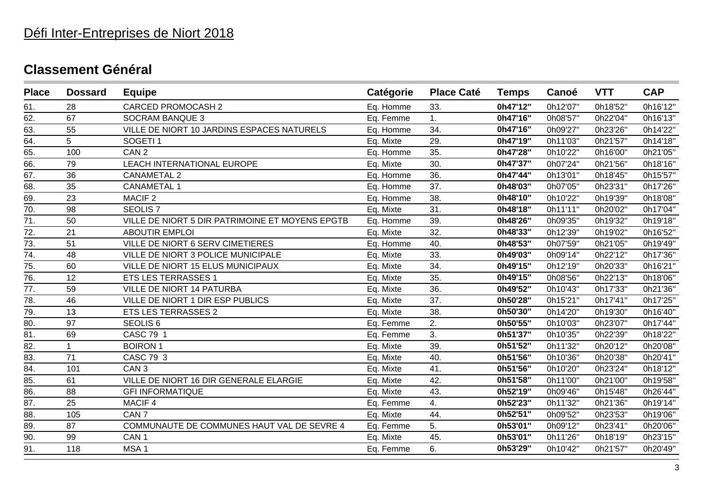| <b>Place</b>      | <b>Dossard</b> | <b>Equipe</b>                                   | Catégorie | <b>Place Caté</b> | <b>Temps</b> | Canoé    | <b>VTT</b> | <b>CAP</b> |
|-------------------|----------------|-------------------------------------------------|-----------|-------------------|--------------|----------|------------|------------|
| 61.               | 28             | <b>CARCED PROMOCASH 2</b>                       | Eq. Homme | 33.               | 0h47'12"     | 0h12'07" | 0h18'52"   | 0h16'12"   |
| 62.               | 67             | <b>SOCRAM BANQUE 3</b>                          | Eq. Femme | 1.                | 0h47'16"     | 0h08'57" | 0h22'04"   | 0h16'13"   |
| 63.               | 55             | VILLE DE NIORT 10 JARDINS ESPACES NATURELS      | Eq. Homme | 34.               | 0h47'16"     | 0h09'27" | 0h23'26"   | 0h14'22"   |
| 64.               | 5              | SOGETI <sub>1</sub>                             | Eq. Mixte | 29.               | 0h47'19"     | 0h11'03" | 0h21'57"   | 0h14'18"   |
| 65.               | 100            | CAN <sub>2</sub>                                | Eq. Homme | 35.               | 0h47'28"     | 0h10'22" | 0h16'00"   | 0h21'05"   |
| 66.               | 79             | <b>LEACH INTERNATIONAL EUROPE</b>               | Eq. Mixte | 30.               | 0h47'37"     | 0h07'24" | 0h21'56"   | 0h18'16"   |
| 67.               | 36             | <b>CANAMETAL 2</b>                              | Eq. Homme | 36.               | 0h47'44"     | 0h13'01" | 0h18'45"   | 0h15'57"   |
| 68.               | 35             | <b>CANAMETAL 1</b>                              | Eq. Homme | 37.               | 0h48'03"     | 0h07'05" | 0h23'31"   | 0h17'26"   |
| 69.               | 23             | MACIF <sub>2</sub>                              | Eq. Homme | 38.               | 0h48'10"     | 0h10'22" | 0h19'39"   | 0h18'08"   |
| $\overline{70}$ . | 98             | <b>SEOLIS 7</b>                                 | Eq. Mixte | 31.               | 0h48'18"     | 0h11'11" | 0h20'02"   | 0h17'04"   |
| 71.               | 50             | VILLE DE NIORT 5 DIR PATRIMOINE ET MOYENS EPGTB | Eq. Homme | 39.               | 0h48'26"     | 0h09'35" | 0h19'32"   | 0h19'18"   |
| 72.               | 21             | <b>ABOUTIR EMPLOI</b>                           | Eq. Mixte | 32.               | 0h48'33"     | 0h12'39" | 0h19'02"   | 0h16'52"   |
| $\overline{73}$ . | 51             | VILLE DE NIORT 6 SERV CIMETIERES                | Eq. Homme | 40.               | 0h48'53"     | 0h07'59" | 0h21'05"   | 0h19'49"   |
| 74.               | 48             | VILLE DE NIORT 3 POLICE MUNICIPALE              | Eq. Mixte | 33.               | 0h49'03"     | 0h09'14" | 0h22'12"   | 0h17'36"   |
| 75.               | 60             | VILLE DE NIORT 15 ELUS MUNICIPAUX               | Eq. Mixte | 34.               | 0h49'15"     | 0h12'19" | 0h20'33"   | 0h16'21"   |
| 76.               | 12             | <b>ETS LES TERRASSES 1</b>                      | Eq. Mixte | 35.               | 0h49'15"     | 0h08'56" | 0h22'13"   | 0h18'06"   |
| $\overline{77}$ . | 59             | <b>VILLE DE NIORT 14 PATURBA</b>                | Eq. Mixte | 36.               | 0h49'52"     | 0h10'43" | 0h17'33"   | 0h21'36"   |
| 78.               | 46             | VILLE DE NIORT 1 DIR ESP PUBLICS                | Eq. Mixte | 37.               | 0h50'28"     | 0h15'21" | 0h17'41"   | 0h17'25"   |
| 79.               | 13             | <b>ETS LES TERRASSES 2</b>                      | Eq. Mixte | 38.               | 0h50'30"     | 0h14'20" | 0h19'30"   | 0h16'40"   |
| 80.               | 97             | SEOLIS <sub>6</sub>                             | Eq. Femme | 2.                | 0h50'55"     | 0h10'03" | 0h23'07"   | 0h17'44"   |
| 81.               | 69             | CASC 79 1                                       | Eq. Femme | 3.                | 0h51'37"     | 0h10'35" | 0h22'39"   | 0h18'22"   |
| 82.               | $\mathbf{1}$   | <b>BOIRON1</b>                                  | Eq. Mixte | 39.               | 0h51'52"     | 0h11'32" | 0h20'12"   | 0h20'08"   |
| 83.               | 71             | CASC 79 3                                       | Eq. Mixte | 40.               | 0h51'56"     | 0h10'36" | 0h20'38"   | 0h20'41"   |
| $\overline{84}$ . | 101            | CAN <sub>3</sub>                                | Eq. Mixte | 41.               | 0h51'56"     | 0h10'20" | 0h23'24"   | 0h18'12"   |
| 85.               | 61             | VILLE DE NIORT 16 DIR GENERALE ELARGIE          | Eq. Mixte | 42.               | 0h51'58"     | 0h11'00" | 0h21'00"   | 0h19'58"   |
| 86.               | 88             | <b>GFI INFORMATIQUE</b>                         | Eq. Mixte | 43.               | 0h52'19"     | 0h09'46" | 0h15'48"   | 0h26'44"   |
| 87.               | 25             | MACIF 4                                         | Eq. Femme | 4.                | 0h52'23"     | 0h11'32" | 0h21'36"   | 0h19'14"   |
| 88.               | 105            | CAN <sub>7</sub>                                | Eq. Mixte | 44.               | 0h52'51"     | 0h09'52" | 0h23'53"   | 0h19'06"   |
| 89.               | 87             | COMMUNAUTE DE COMMUNES HAUT VAL DE SEVRE 4      | Eq. Femme | 5.                | 0h53'01"     | 0h09'12" | 0h23'41"   | 0h20'06"   |
| 90.               | 99             | CAN <sub>1</sub>                                | Eq. Mixte | 45.               | 0h53'01"     | 0h11'26" | 0h18'19"   | 0h23'15"   |
| 91.               | 118            | MSA <sub>1</sub>                                | Eq. Femme | 6.                | 0h53'29"     | 0h10'42" | 0h21'57"   | 0h20'49"   |
|                   |                |                                                 |           |                   |              |          |            |            |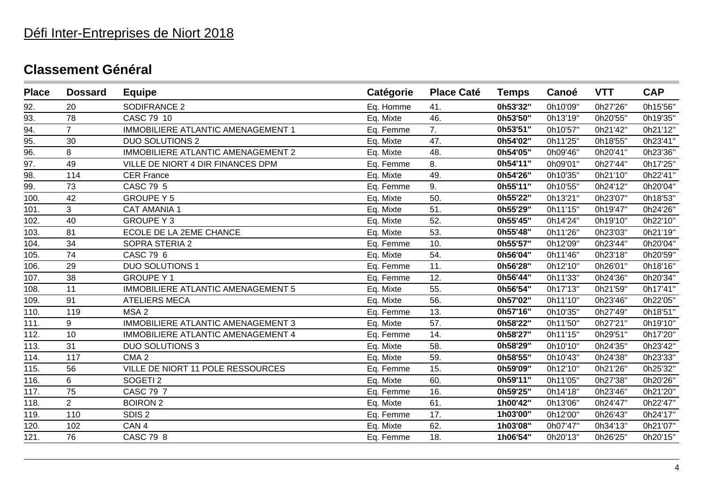# Défi Inter-Entreprises de Niort 2018

| <b>Place</b> | <b>Dossard</b> | <b>Equipe</b>                      | Catégorie | <b>Place Caté</b> | <b>Temps</b> | Canoé    | <b>VTT</b> | <b>CAP</b> |
|--------------|----------------|------------------------------------|-----------|-------------------|--------------|----------|------------|------------|
| 92.          | 20             | SODIFRANCE 2                       | Eq. Homme | 41.               | 0h53'32"     | 0h10'09" | 0h27'26"   | 0h15'56"   |
| 93.          | 78             | CASC 79 10                         | Eq. Mixte | 46.               | 0h53'50"     | 0h13'19" | 0h20'55"   | 0h19'35"   |
| 94.          | $\overline{7}$ | IMMOBILIERE ATLANTIC AMENAGEMENT 1 | Eq. Femme | 7.                | 0h53'51"     | 0h10'57" | 0h21'42"   | 0h21'12"   |
| 95.          | 30             | <b>DUO SOLUTIONS 2</b>             | Eq. Mixte | 47.               | 0h54'02"     | 0h11'25" | 0h18'55"   | 0h23'41"   |
| 96.          | 8              | IMMOBILIERE ATLANTIC AMENAGEMENT 2 | Eq. Mixte | 48.               | 0h54'05"     | 0h09'46" | 0h20'41"   | 0h23'36"   |
| 97.          | 49             | VILLE DE NIORT 4 DIR FINANCES DPM  | Eq. Femme | 8.                | 0h54'11"     | 0h09'01" | 0h27'44"   | 0h17'25"   |
| 98.          | 114            | <b>CER France</b>                  | Eq. Mixte | 49.               | 0h54'26"     | 0h10'35" | 0h21'10"   | 0h22'41"   |
| 99.          | 73             | CASC 79 5                          | Eq. Femme | 9.                | 0h55'11"     | 0h10'55" | 0h24'12"   | 0h20'04"   |
| 100.         | 42             | <b>GROUPE Y 5</b>                  | Eq. Mixte | 50.               | 0h55'22"     | 0h13'21" | 0h23'07"   | 0h18'53"   |
| 101.         | 3              | <b>CAT AMANIA 1</b>                | Eq. Mixte | 51.               | 0h55'29"     | 0h11'15" | 0h19'47"   | 0h24'26"   |
| 102.         | 40             | <b>GROUPE Y3</b>                   | Eq. Mixte | 52.               | 0h55'45"     | 0h14'24" | 0h19'10"   | 0h22'10"   |
| 103.         | 81             | ECOLE DE LA 2EME CHANCE            | Eq. Mixte | 53.               | 0h55'48"     | 0h11'26" | 0h23'03"   | 0h21'19"   |
| 104.         | 34             | SOPRA STERIA 2                     | Eq. Femme | 10.               | 0h55'57"     | 0h12'09" | 0h23'44"   | 0h20'04"   |
| 105.         | 74             | CASC 79 6                          | Eq. Mixte | 54.               | 0h56'04"     | 0h11'46" | 0h23'18"   | 0h20'59"   |
| 106.         | 29             | <b>DUO SOLUTIONS 1</b>             | Eq. Femme | 11.               | 0h56'28"     | 0h12'10" | 0h26'01"   | 0h18'16"   |
| 107.         | 38             | <b>GROUPE Y1</b>                   | Eq. Femme | 12.               | 0h56'44"     | 0h11'33" | 0h24'36"   | 0h20'34"   |
| 108.         | 11             | IMMOBILIERE ATLANTIC AMENAGEMENT 5 | Eq. Mixte | 55.               | 0h56'54"     | 0h17'13" | 0h21'59"   | 0h17'41"   |
| 109.         | 91             | <b>ATELIERS MECA</b>               | Eq. Mixte | 56.               | 0h57'02"     | 0h11'10" | 0h23'46"   | 0h22'05"   |
| 110.         | 119            | MSA <sub>2</sub>                   | Eq. Femme | 13.               | 0h57'16"     | 0h10'35" | 0h27'49"   | 0h18'51"   |
| 111.         | 9              | IMMOBILIERE ATLANTIC AMENAGEMENT 3 | Eq. Mixte | 57.               | 0h58'22"     | 0h11'50" | 0h27'21"   | 0h19'10"   |
| 112.         | 10             | IMMOBILIERE ATLANTIC AMENAGEMENT 4 | Eq. Femme | 14.               | 0h58'27"     | 0h11'15" | 0h29'51"   | 0h17'20"   |
| 113.         | 31             | <b>DUO SOLUTIONS 3</b>             | Eq. Mixte | 58.               | 0h58'29"     | 0h10'10" | 0h24'35"   | 0h23'42"   |
| 114.         | 117            | CMA <sub>2</sub>                   | Eq. Mixte | 59.               | 0h58'55"     | 0h10'43" | 0h24'38"   | 0h23'33"   |
| 115.         | 56             | VILLE DE NIORT 11 POLE RESSOURCES  | Eq. Femme | 15.               | 0h59'09"     | 0h12'10" | 0h21'26"   | 0h25'32"   |
| 116.         | 6              | SOGETI <sub>2</sub>                | Eq. Mixte | 60.               | 0h59'11"     | 0h11'05" | 0h27'38"   | 0h20'26"   |
| 117.         | 75             | CASC 79 7                          | Eq. Femme | 16.               | 0h59'25"     | 0h14'18" | 0h23'46"   | 0h21'20"   |
| 118.         | $\overline{2}$ | <b>BOIRON 2</b>                    | Eq. Mixte | 61.               | 1h00'42"     | 0h13'06" | 0h24'47"   | 0h22'47"   |
| 119.         | 110            | SDIS <sub>2</sub>                  | Eq. Femme | 17.               | 1h03'00"     | 0h12'00" | 0h26'43"   | 0h24'17"   |
| 120.         | 102            | CAN <sub>4</sub>                   | Eq. Mixte | 62.               | 1h03'08"     | 0h07'47" | 0h34'13"   | 0h21'07"   |
| 121.         | 76             | <b>CASC 79 8</b>                   | Eq. Femme | 18.               | 1h06'54"     | 0h20'13" | 0h26'25"   | 0h20'15"   |